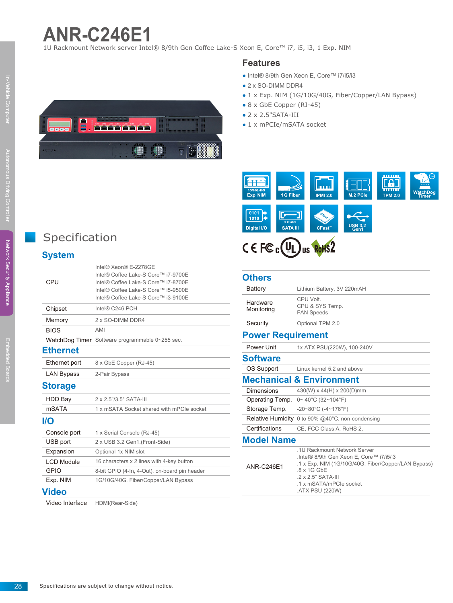## **ANR-C246E1**

1U Rackmount Network server Intel® 8/9th Gen Coffee Lake-S Xeon E, Core™ i7, i5, i3, 1 Exp. NIM

#### **Features**

- Intel® 8/9th Gen Xeon E, Core™ i7/i5/i3
- 2 x SO-DIMM DDR4
- 1 x Exp. NIM (1G/10G/40G, Fiber/Copper/LAN Bypass)
- 8 x GbE Copper (RJ-45)
- $\bullet$  2  $\times$  2.5"SATA-III
- $\bullet$  1 x mPCIe/mSATA socket





#### **Others**

| <b>Battery</b>           | Lithium Battery, 3V 220mAH                                                                                                                    |
|--------------------------|-----------------------------------------------------------------------------------------------------------------------------------------------|
| Hardware<br>Monitoring   | CPU Volt.<br>CPU & SYS Temp.<br><b>FAN Speeds</b>                                                                                             |
| Security                 | Optional TPM 2.0                                                                                                                              |
| <b>Power Requirement</b> |                                                                                                                                               |
| Power Unit               | 1x ATX PSU(220W), 100-240V                                                                                                                    |
| <b>Software</b>          |                                                                                                                                               |
| OS Support               | Linux kernel 5.2 and above                                                                                                                    |
|                          | <b>Mechanical &amp; Environment</b>                                                                                                           |
| <b>Dimensions</b>        | 430(W) x 44(H) x 200(D)mm                                                                                                                     |
| Operating Temp.          | $0 \sim 40^{\circ}$ C (32~104°F)                                                                                                              |
| Storage Temp.            | $-20\nu 80^{\circ}$ C ( $-4\nu 176^{\circ}$ F)                                                                                                |
| Relative Humidity        | 0 to 90% $@40^{\circ}$ C, non-condensing                                                                                                      |
| Certifications           | CE, FCC Class A, RoHS 2,                                                                                                                      |
| <b>Model Name</b>        |                                                                                                                                               |
| <b>ANR-C246E1</b>        | 1U Rackmount Network Server<br>.Intel® 8/9th Gen Xeon E, Core™ i7/i5/i3<br>.1 x Exp. NIM (1G/10G/40G, Fiber/Copper/LAN Bypass)<br>.8 x 1G GbE |

.ATX PSU (220W)

.2 x 2.5" SATA-III .1 x mSATA/mPCIe socket



### Specification

#### **System**

| CPU               | Intel® Xeon® E-2278GE<br>Intel® Coffee Lake-S Core™ i7-9700E<br>Intel® Coffee Lake-S Core™ i7-8700E<br>Intel® Coffee Lake-S Core™ i5-9500E<br>Intel® Coffee Lake-S Core™ i3-9100E |
|-------------------|-----------------------------------------------------------------------------------------------------------------------------------------------------------------------------------|
| Chipset           | Intel® C246 PCH                                                                                                                                                                   |
| Memory            | 2 x SO-DIMM DDR4                                                                                                                                                                  |
| <b>BIOS</b>       | AMI                                                                                                                                                                               |
|                   | WatchDog Timer Software programmable 0~255 sec.                                                                                                                                   |
| <b>Ethernet</b>   |                                                                                                                                                                                   |
| Ethernet port     | 8 x GbE Copper (RJ-45)                                                                                                                                                            |
| <b>LAN Bypass</b> | 2-Pair Bypass                                                                                                                                                                     |
| <b>Storage</b>    |                                                                                                                                                                                   |
| <b>HDD Bay</b>    | 2 x 2.5"/3.5" SATA-III                                                                                                                                                            |
| <b>mSATA</b>      | 1 x mSATA Socket shared with mPCIe socket                                                                                                                                         |
| $II$              |                                                                                                                                                                                   |
| Console port      | 1 x Serial Console (RJ-45)                                                                                                                                                        |
| USB port          | 2 x USB 3.2 Gen1.(Front-Side)                                                                                                                                                     |
| Expansion         | Optional 1x NIM slot                                                                                                                                                              |
| <b>LCD Module</b> | 16 characters x 2 lines with 4-key button                                                                                                                                         |
| <b>GPIO</b>       | 8-bit GPIO (4-In, 4-Out), on-board pin header                                                                                                                                     |
| Exp. NIM          | 1G/10G/40G, Fiber/Copper/LAN Bypass                                                                                                                                               |
| <b>Video</b>      |                                                                                                                                                                                   |
|                   |                                                                                                                                                                                   |

Video Interface HDMI(Rear-Side)